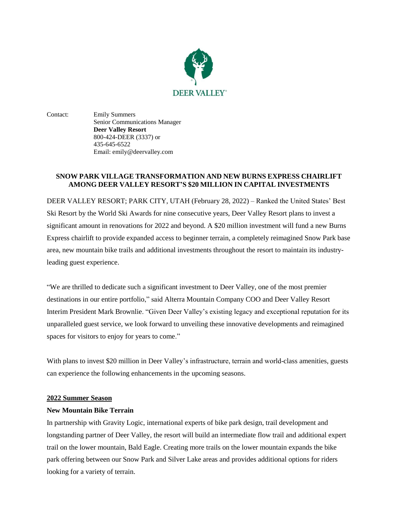

Contact: Emily Summers Senior Communications Manager **Deer Valley Resort** 800-424-DEER (3337) or 435-645-6522 Email: emily@deervalley.com

# **SNOW PARK VILLAGE TRANSFORMATION AND NEW BURNS EXPRESS CHAIRLIFT AMONG DEER VALLEY RESORT'S \$20 MILLION IN CAPITAL INVESTMENTS**

DEER VALLEY RESORT; PARK CITY, UTAH (February 28, 2022) – Ranked the United States' Best Ski Resort by the World Ski Awards for nine consecutive years, Deer Valley Resort plans to invest a significant amount in renovations for 2022 and beyond. A \$20 million investment will fund a new Burns Express chairlift to provide expanded access to beginner terrain, a completely reimagined Snow Park base area, new mountain bike trails and additional investments throughout the resort to maintain its industryleading guest experience.

"We are thrilled to dedicate such a significant investment to Deer Valley, one of the most premier destinations in our entire portfolio," said Alterra Mountain Company COO and Deer Valley Resort Interim President Mark Brownlie. "Given Deer Valley's existing legacy and exceptional reputation for its unparalleled guest service, we look forward to unveiling these innovative developments and reimagined spaces for visitors to enjoy for years to come."

With plans to invest \$20 million in Deer Valley's infrastructure, terrain and world-class amenities, guests can experience the following enhancements in the upcoming seasons.

## **2022 Summer Season**

## **New Mountain Bike Terrain**

In partnership with Gravity Logic, international experts of bike park design, trail development and longstanding partner of Deer Valley, the resort will build an intermediate flow trail and additional expert trail on the lower mountain, Bald Eagle. Creating more trails on the lower mountain expands the bike park offering between our Snow Park and Silver Lake areas and provides additional options for riders looking for a variety of terrain.